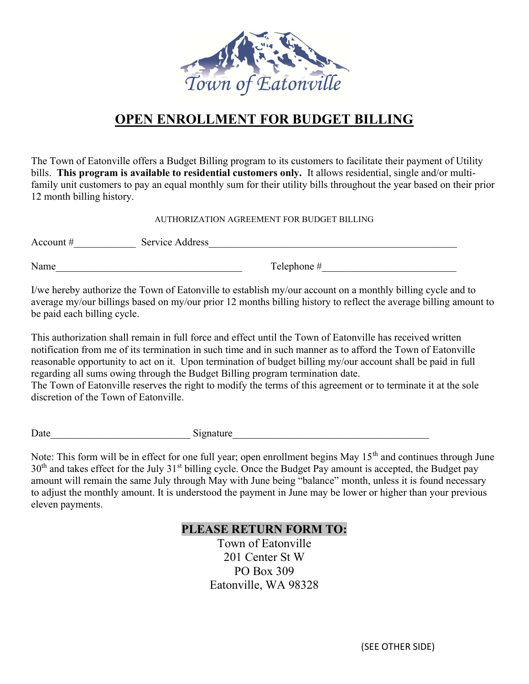

## OPEN ENROLLMENT FOR BUDGET BILLING

The Town of Eatonville offers a Budget Billing program to its customers to facilitate their payment of Utility bills. This program is available to residential customers only. It allows residential, single and/or multifamily unit customers to pay an equal monthly sum for their utility bills throughout the year based on their prior 12 month billing history.

AUTHORIZATION AGREEMENT FOR BUDGET BILLING

| Account $#$ | Service Address |             |
|-------------|-----------------|-------------|
| Name        |                 | Telephone # |

I/we hereby authorize the Town of Eatonville to establish my/our account on a monthly billing cycle and to average my/our billings based on my/our prior 12 months billing history to reflect the average billing amount to be paid each billing cycle.

This authorization shall remain in full force and effect until the Town of Eatonville has received written notification from me of its termination in such time and in such manner as to afford the Town of Eatonville reasonable opportunity to act on it. Upon termination of budget billing my/our account shall be paid in full regarding all sums owing through the Budget Billing program termination date.

The Town of Eatonville reserves the right to modify the terms of this agreement or to terminate it at the sole discretion of the Town of Eatonville.

Date example of the signature signature  $\Box$ 

Note: This form will be in effect for one full year; open enrollment begins May 15<sup>th</sup> and continues through June 30<sup>th</sup> and takes effect for the July 31<sup>st</sup> billing cycle. Once the Budget Pay amount is accepted, the Budget pay amount will remain the same July through May with June being "balance" month, unless it is found necessary to adjust the monthly amount. It is understood the payment in June may be lower or higher than your previous eleven payments.

## PLEASE RETURN FORM TO:

Town of Eatonville 201 Center St W PO Box 309 Eatonville, WA 98328